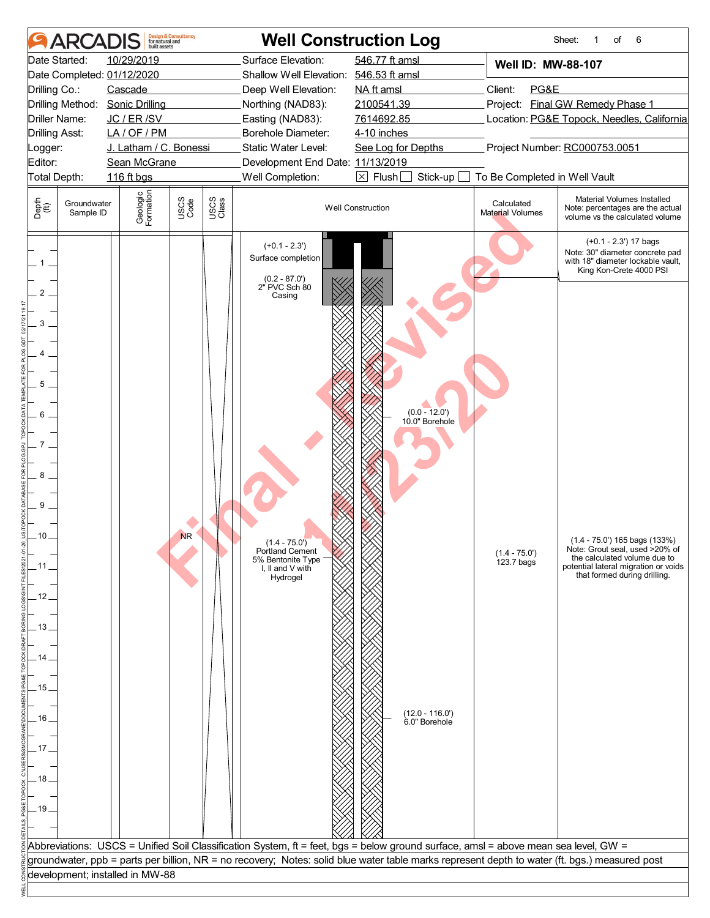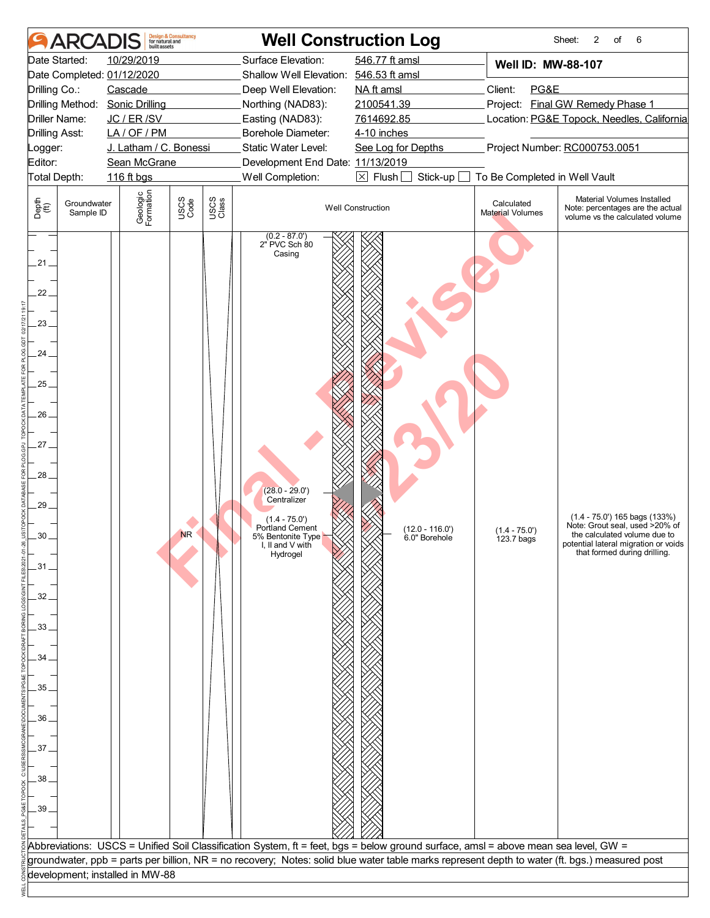| <b>AR</b>                                                                                                                                                                | <b>Design &amp; Consultancy</b><br>for natural and<br>built assets                                        | <b>Well Construction Log</b>                                                                                                                                                                                                                                                        |                                                                                                                                |                                                                        | Sheet:<br>2<br>6<br>of                                                                                                                                                                                                                                                           |
|--------------------------------------------------------------------------------------------------------------------------------------------------------------------------|-----------------------------------------------------------------------------------------------------------|-------------------------------------------------------------------------------------------------------------------------------------------------------------------------------------------------------------------------------------------------------------------------------------|--------------------------------------------------------------------------------------------------------------------------------|------------------------------------------------------------------------|----------------------------------------------------------------------------------------------------------------------------------------------------------------------------------------------------------------------------------------------------------------------------------|
| Date Started:<br>Date Completed: 01/12/2020<br>Drilling Co.:<br>Drilling Method: Sonic Drilling<br>Driller Name:<br>Drilling Asst:<br>Logger:<br>Editor:<br>Total Depth: | 10/29/2019<br>Cascade<br>JC / ER / SV<br>LA/OF/PM<br>J. Latham / C. Bonessi<br>Sean McGrane<br>116 ft bgs | Surface Elevation:<br>Shallow Well Elevation: 546.53 ft amsl<br>Deep Well Elevation:<br>Northing (NAD83):<br>Easting (NAD83):<br>Borehole Diameter:<br>Static Water Level:<br>Development End Date: 11/13/2019<br>Well Completion:                                                  | 546.77 ft amsl<br>NA ft amsl<br>2100541.39<br>7614692.85<br>4-10 inches<br>See Log for Depths<br>$\boxtimes$ Flush<br>Stick-up | Well ID: MW-88-107<br>Client:<br>PG&E<br>To Be Completed in Well Vault | Project: Final GW Remedy Phase 1<br>Location: PG&E Topock, Needles, California<br>Project Number: RC000753.0051                                                                                                                                                                  |
| Depth<br>(ff)<br>Groundwater<br>Sample ID<br>21.<br>22.<br>23.<br>24.<br>25<br>26<br>27 <sub>1</sub><br>.28<br>.29<br>30.<br>$-31$<br>32<br>33.<br>34                    | Geologic<br>Formation<br>USCS<br>Code<br><b>NR</b>                                                        | USCS<br>Class<br>$(0.2 - 87.0')$<br>2" PVC Sch 80<br>Casing<br>$(28.0 - 29.0')$<br>Centralizer<br>$(1.4 - 75.0)$<br>Portland Cement<br>5% Bentonite Type<br>I, II and $V$ with<br>Hydrogel                                                                                          | <b>Well Construction</b><br>$(12.0 - 116.0')$<br>6.0" Borehole                                                                 | Calculated<br>Material Volumes<br>$(1.4 - 75.0')$<br>123.7 bags        | Material Volumes Installed<br>Note: percentages are the actual<br>volume vs the calculated volume<br>$(1.4 - 75.0')$ 165 bags $(133%)$<br>Note: Grout seal, used >20% of<br>the calculated volume due to<br>potential lateral migration or voids<br>that formed during drilling. |
| 35.<br>36<br>37.<br>38<br>39                                                                                                                                             |                                                                                                           |                                                                                                                                                                                                                                                                                     |                                                                                                                                |                                                                        |                                                                                                                                                                                                                                                                                  |
|                                                                                                                                                                          | development; installed in MW-88                                                                           | Abbreviations: USCS = Unified Soil Classification System, ft = feet, bgs = below ground surface, amsl = above mean sea level, GW =<br>groundwater, ppb = parts per billion, NR = no recovery; Notes: solid blue water table marks represent depth to water (ft. bgs.) measured post |                                                                                                                                |                                                                        |                                                                                                                                                                                                                                                                                  |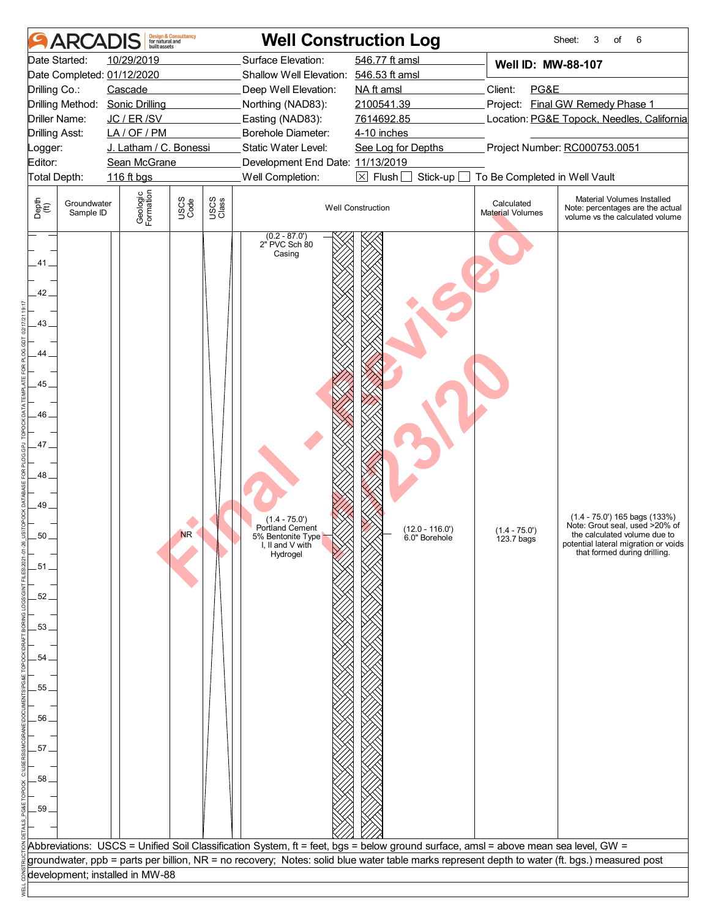| <b>AR</b>                                                                                                                                                                | built assets                                                                                              | <b>Design &amp; Consultancy</b><br>for natural and |               | <b>Well Construction Log</b>                                                                                                                                                                                                                                                        |                                                                                                                                |                                                                        | 3<br>6<br>Sheet:<br>of                                                                                                                                                      |
|--------------------------------------------------------------------------------------------------------------------------------------------------------------------------|-----------------------------------------------------------------------------------------------------------|----------------------------------------------------|---------------|-------------------------------------------------------------------------------------------------------------------------------------------------------------------------------------------------------------------------------------------------------------------------------------|--------------------------------------------------------------------------------------------------------------------------------|------------------------------------------------------------------------|-----------------------------------------------------------------------------------------------------------------------------------------------------------------------------|
| Date Started:<br>Date Completed: 01/12/2020<br>Drilling Co.:<br>Drilling Method: Sonic Drilling<br>Driller Name:<br>Drilling Asst:<br>Logger:<br>Editor:<br>Total Depth: | 10/29/2019<br>Cascade<br>JC / ER / SV<br>LA/OF/PM<br>J. Latham / C. Bonessi<br>Sean McGrane<br>116 ft bgs |                                                    |               | Surface Elevation:<br>Shallow Well Elevation: 546.53 ft amsl<br>Deep Well Elevation:<br>Northing (NAD83):<br>Easting (NAD83):<br>Borehole Diameter:<br>Static Water Level:<br>Development End Date: 11/13/2019<br>Well Completion:                                                  | 546.77 ft amsl<br>NA ft amsl<br>2100541.39<br>7614692.85<br>4-10 inches<br>See Log for Depths<br>$\boxtimes$ Flush<br>Stick-up | Well ID: MW-88-107<br>Client:<br>PG&E<br>To Be Completed in Well Vault | Project: Final GW Remedy Phase 1<br>Location: PG&E Topock, Needles, California<br>Project Number: RC000753.0051                                                             |
| Depth<br>(ff)<br>Groundwater<br>Sample ID                                                                                                                                | Geologic<br>Formation                                                                                     | USCS<br>Code                                       | USCS<br>Class |                                                                                                                                                                                                                                                                                     | <b>Well Construction</b>                                                                                                       | Calculated<br>Material Volumes                                         | Material Volumes Installed<br>Note: percentages are the actual<br>volume vs the calculated volume                                                                           |
| 41<br>42.<br>43.<br>44<br>45<br>46<br>.47<br>48.<br>49<br>50<br>.51<br>52.<br>.53.<br>54<br>.55<br>56<br>57.<br>58<br>59.                                                |                                                                                                           | <b>NR</b>                                          |               | $(0.2 - 87.0')$<br>2" PVC Sch 80<br>Casing<br>$(1.4 - 75.0)$<br><b>Portland Cement</b><br>5% Bentonite Type<br>I, II and $V$ with<br>Hydrogel<br>Abbreviations: USCS = Unified Soil Classification System, ft = feet, bgs = below ground surface, amsl = above mean sea level, GW = | $(12.0 - 116.0')$<br>6.0" Borehole                                                                                             | $(1.4 - 75.0')$<br>123.7 bags                                          | $(1.4 - 75.0')$ 165 bags $(133%)$<br>Note: Grout seal, used >20% of<br>the calculated volume due to<br>potential lateral migration or voids<br>that formed during drilling. |
| development; installed in MW-88                                                                                                                                          |                                                                                                           |                                                    |               | groundwater, ppb = parts per billion, NR = no recovery; Notes: solid blue water table marks represent depth to water (ft. bgs.) measured post                                                                                                                                       |                                                                                                                                |                                                                        |                                                                                                                                                                             |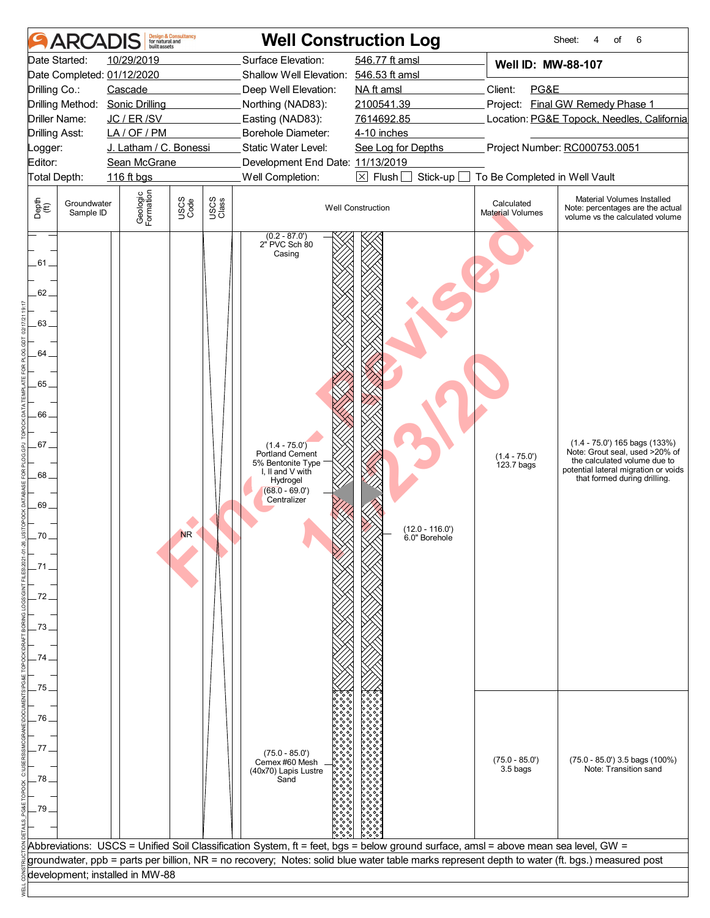| <b>ARCA</b>                                                                                        | built assets           | <b>Design &amp; Consultancy</b><br>for natural and |               | <b>Well Construction Log</b>                                                                                                                                             |                                                                                                                                               |                                       | 6<br>Sheet:<br>4<br>of                                                                                                                                                      |
|----------------------------------------------------------------------------------------------------|------------------------|----------------------------------------------------|---------------|--------------------------------------------------------------------------------------------------------------------------------------------------------------------------|-----------------------------------------------------------------------------------------------------------------------------------------------|---------------------------------------|-----------------------------------------------------------------------------------------------------------------------------------------------------------------------------|
| Date Started:                                                                                      | 10/29/2019             |                                                    |               | Surface Elevation:                                                                                                                                                       | 546.77 ft amsl                                                                                                                                | Well ID: MW-88-107                    |                                                                                                                                                                             |
| Date Completed: 01/12/2020                                                                         |                        |                                                    |               | Shallow Well Elevation: 546.53 ft amsl                                                                                                                                   |                                                                                                                                               |                                       |                                                                                                                                                                             |
| Drilling Co.:                                                                                      | Cascade                |                                                    |               | Deep Well Elevation:                                                                                                                                                     | NA ft amsl                                                                                                                                    | Client:<br>PG&E                       |                                                                                                                                                                             |
| Drilling Method: Sonic Drilling                                                                    |                        |                                                    |               | Northing (NAD83):                                                                                                                                                        | 2100541.39                                                                                                                                    |                                       | Project: Final GW Remedy Phase 1                                                                                                                                            |
| Driller Name:                                                                                      | JC / ER / SV           |                                                    |               | Easting (NAD83):                                                                                                                                                         | 7614692.85                                                                                                                                    |                                       | Location: PG&E Topock, Needles, California                                                                                                                                  |
| <b>Drilling Asst:</b>                                                                              | LA/OF/PM               |                                                    |               | Borehole Diameter:                                                                                                                                                       | 4-10 inches                                                                                                                                   |                                       |                                                                                                                                                                             |
| Logger:                                                                                            | J. Latham / C. Bonessi |                                                    |               | Static Water Level:                                                                                                                                                      | See Log for Depths                                                                                                                            |                                       | Project Number: RC000753.0051                                                                                                                                               |
| Editor:                                                                                            | Sean McGrane           |                                                    |               | Development End Date: 11/13/2019                                                                                                                                         |                                                                                                                                               |                                       |                                                                                                                                                                             |
| Total Depth:                                                                                       | 116 ft bgs             |                                                    |               | Well Completion:                                                                                                                                                         | $\boxtimes$ Flush $\Box$<br>Stick-up                                                                                                          | To Be Completed in Well Vault         |                                                                                                                                                                             |
| Depth<br>$\bigoplus_{i=1}^{n}$<br>Groundwater<br>Sample ID                                         | Geologic<br>Formation  | USCS<br>Code                                       | USCS<br>Class |                                                                                                                                                                          | <b>Well Construction</b>                                                                                                                      | Calculated<br><b>Material Volumes</b> | Material Volumes Installed<br>Note: percentages are the actual<br>volume vs the calculated volume                                                                           |
| .61.<br>$62 -$<br>.63.<br>64.<br>.65.<br>66<br>.67.<br>68.<br>.69.<br>70.<br>.71<br>73<br>74<br>75 |                        | <b>NR</b>                                          |               | $(0.2 - 87.0')$<br>2" PVC Sch 80<br>Casing<br>$(1.4 - 75.0')$<br>Portland Cement<br>5% Bentonite Type<br>I, II and V with<br>Hydrogel<br>$(68.0 - 69.0')$<br>Centralizer | $(12.0 - 116.0')$<br>6.0" Borehole                                                                                                            | $(1.4 - 75.0')$<br>123.7 bags         | $(1.4 - 75.0')$ 165 bags $(133%)$<br>Note: Grout seal, used >20% of<br>the calculated volume due to<br>potential lateral migration or voids<br>that formed during drilling. |
| 76                                                                                                 |                        |                                                    |               |                                                                                                                                                                          |                                                                                                                                               |                                       |                                                                                                                                                                             |
| 77<br>78<br>.79                                                                                    |                        |                                                    |               | $(75.0 - 85.0')$<br>Cemex #60 Mesh<br>(40x70) Lapis Lustre<br>Sand                                                                                                       |                                                                                                                                               | $(75.0 - 85.0')$<br>3.5 bags          | $(75.0 - 85.0')$ 3.5 bags $(100\%)$<br>Note: Transition sand                                                                                                                |
|                                                                                                    |                        |                                                    |               |                                                                                                                                                                          |                                                                                                                                               |                                       |                                                                                                                                                                             |
|                                                                                                    |                        |                                                    |               |                                                                                                                                                                          | Abbreviations: USCS = Unified Soil Classification System, ft = feet, bgs = below ground surface, amsl = above mean sea level, GW =            |                                       |                                                                                                                                                                             |
|                                                                                                    |                        |                                                    |               |                                                                                                                                                                          | groundwater, ppb = parts per billion, NR = no recovery; Notes: solid blue water table marks represent depth to water (ft. bgs.) measured post |                                       |                                                                                                                                                                             |
| development; installed in MW-88                                                                    |                        |                                                    |               |                                                                                                                                                                          |                                                                                                                                               |                                       |                                                                                                                                                                             |
|                                                                                                    |                        |                                                    |               |                                                                                                                                                                          |                                                                                                                                               |                                       |                                                                                                                                                                             |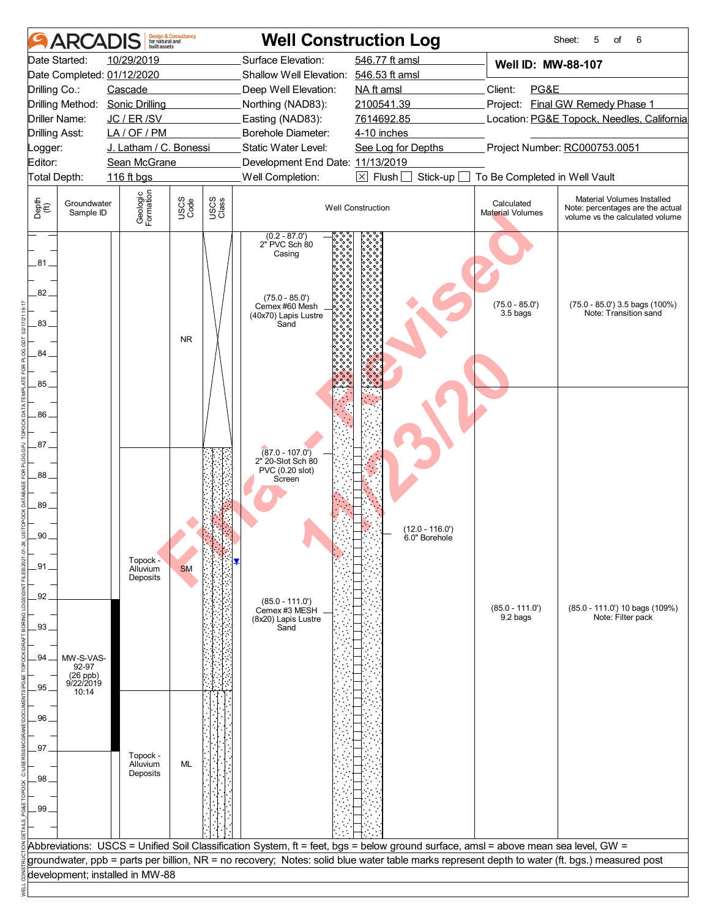|                                       | <b>ARCA</b>                      | huilt assets                             | <b>Design &amp; Consultancy</b><br>for natural and |               |                                                                                                                  | <b>Well Construction Log</b>                                                                                                                  |                                            | Sheet:<br>6<br>5<br>of                                                                            |
|---------------------------------------|----------------------------------|------------------------------------------|----------------------------------------------------|---------------|------------------------------------------------------------------------------------------------------------------|-----------------------------------------------------------------------------------------------------------------------------------------------|--------------------------------------------|---------------------------------------------------------------------------------------------------|
|                                       | Date Started:                    | 10/29/2019<br>Date Completed: 01/12/2020 |                                                    |               | Surface Elevation:<br>Shallow Well Elevation: 546.53 ft amsl                                                     | 546.77 ft amsl                                                                                                                                | Well ID: MW-88-107                         |                                                                                                   |
| Drilling Co.:                         |                                  | Cascade                                  |                                                    |               | Deep Well Elevation:                                                                                             | NA ft amsl                                                                                                                                    | Client:<br>PG&E                            |                                                                                                   |
|                                       |                                  | Drilling Method: Sonic Drilling          |                                                    |               | Northing (NAD83):                                                                                                | 2100541.39                                                                                                                                    |                                            | Project: Final GW Remedy Phase 1                                                                  |
|                                       | Driller Name:                    | JC / ER / SV                             |                                                    |               | Easting (NAD83):                                                                                                 | 7614692.85                                                                                                                                    | Location: PG&E Topock, Needles, California |                                                                                                   |
| <b>Drilling Asst:</b>                 |                                  | LA/OF/PM                                 |                                                    |               | Borehole Diameter:                                                                                               | 4-10 inches                                                                                                                                   |                                            |                                                                                                   |
|                                       |                                  | J. Latham / C. Bonessi                   |                                                    |               | Static Water Level:                                                                                              |                                                                                                                                               |                                            | Project Number: RC000753.0051                                                                     |
| Logger:                               |                                  |                                          |                                                    |               |                                                                                                                  | See Log for Depths                                                                                                                            |                                            |                                                                                                   |
| Editor:                               |                                  | Sean McGrane                             |                                                    |               | Development End Date: 11/13/2019                                                                                 |                                                                                                                                               |                                            |                                                                                                   |
|                                       | Total Depth:                     | 116 ft bgs                               |                                                    |               | Well Completion:                                                                                                 | $\boxtimes$ Flush $[$<br>Stick-up                                                                                                             | To Be Completed in Well Vault              |                                                                                                   |
| Depth<br>(ff)                         | Groundwater<br>Sample ID         | Geologic<br>Formation                    | USCS<br>Code                                       | USCS<br>Class |                                                                                                                  | <b>Well Construction</b>                                                                                                                      | Calculated<br>Material Volumes             | Material Volumes Installed<br>Note: percentages are the actual<br>volume vs the calculated volume |
| .81.<br>82.<br>83.<br>84              |                                  |                                          | <b>NR</b>                                          |               | $(0.2 - 87.0')$<br>2" PVC Sch 80<br>Casing<br>$(75.0 - 85.0')$<br>Cemex #60 Mesh<br>(40x70) Lapis Lustre<br>Sand |                                                                                                                                               | $(75.0 - 85.0')$<br>3.5 bags               | $(75.0 - 85.0')$ 3.5 bags $(100\%)$<br>Note: Transition sand                                      |
| $85 -$<br>86<br>87<br>88.<br>89<br>90 |                                  |                                          |                                                    |               | $\sqrt{87.0 - 107.0}$<br>2" 20-Slot Sch 80<br>PVC (0.20 slot)<br>Screen                                          | (12.0 - 116.0')<br>6.0" Borehole                                                                                                              |                                            |                                                                                                   |
| .91<br>92<br>93.<br>94                | MW-S-VAS-                        | Topock -<br>Alluvium<br>Deposits         | <b>SM</b>                                          |               | $(85.0 - 111.0')$<br>Cemex #3 MESH<br>(8x20) Lapis Lustre<br>Sand                                                |                                                                                                                                               | $(85.0 - 111.0')$<br>9.2 bags              | (85.0 - 111.0') 10 bags (109%)<br>Note: Filter pack                                               |
|                                       | 92-97<br>$(26$ ppb)<br>9/22/2019 |                                          |                                                    |               |                                                                                                                  |                                                                                                                                               |                                            |                                                                                                   |
| $95-$                                 | 10:14                            |                                          |                                                    |               |                                                                                                                  |                                                                                                                                               |                                            |                                                                                                   |
|                                       |                                  |                                          |                                                    |               |                                                                                                                  |                                                                                                                                               |                                            |                                                                                                   |
| 96.                                   |                                  |                                          |                                                    |               |                                                                                                                  |                                                                                                                                               |                                            |                                                                                                   |
|                                       |                                  |                                          |                                                    |               |                                                                                                                  |                                                                                                                                               |                                            |                                                                                                   |
| .97                                   |                                  |                                          |                                                    |               |                                                                                                                  |                                                                                                                                               |                                            |                                                                                                   |
|                                       |                                  | Topock -                                 |                                                    |               |                                                                                                                  |                                                                                                                                               |                                            |                                                                                                   |
|                                       |                                  | Alluvium<br>Deposits                     | ML                                                 |               |                                                                                                                  |                                                                                                                                               |                                            |                                                                                                   |
| 98                                    |                                  |                                          |                                                    |               |                                                                                                                  |                                                                                                                                               |                                            |                                                                                                   |
|                                       |                                  |                                          |                                                    |               |                                                                                                                  |                                                                                                                                               |                                            |                                                                                                   |
| .99.                                  |                                  |                                          |                                                    |               |                                                                                                                  |                                                                                                                                               |                                            |                                                                                                   |
|                                       |                                  |                                          |                                                    |               |                                                                                                                  |                                                                                                                                               |                                            |                                                                                                   |
|                                       |                                  |                                          |                                                    |               |                                                                                                                  |                                                                                                                                               |                                            |                                                                                                   |
|                                       |                                  |                                          |                                                    |               |                                                                                                                  | Abbreviations: USCS = Unified Soil Classification System, ft = feet, bgs = below ground surface, amsl = above mean sea level, GW =            |                                            |                                                                                                   |
|                                       |                                  |                                          |                                                    |               |                                                                                                                  | groundwater, ppb = parts per billion, NR = no recovery; Notes: solid blue water table marks represent depth to water (ft. bgs.) measured post |                                            |                                                                                                   |
|                                       |                                  | development; installed in MW-88          |                                                    |               |                                                                                                                  |                                                                                                                                               |                                            |                                                                                                   |
|                                       |                                  |                                          |                                                    |               |                                                                                                                  |                                                                                                                                               |                                            |                                                                                                   |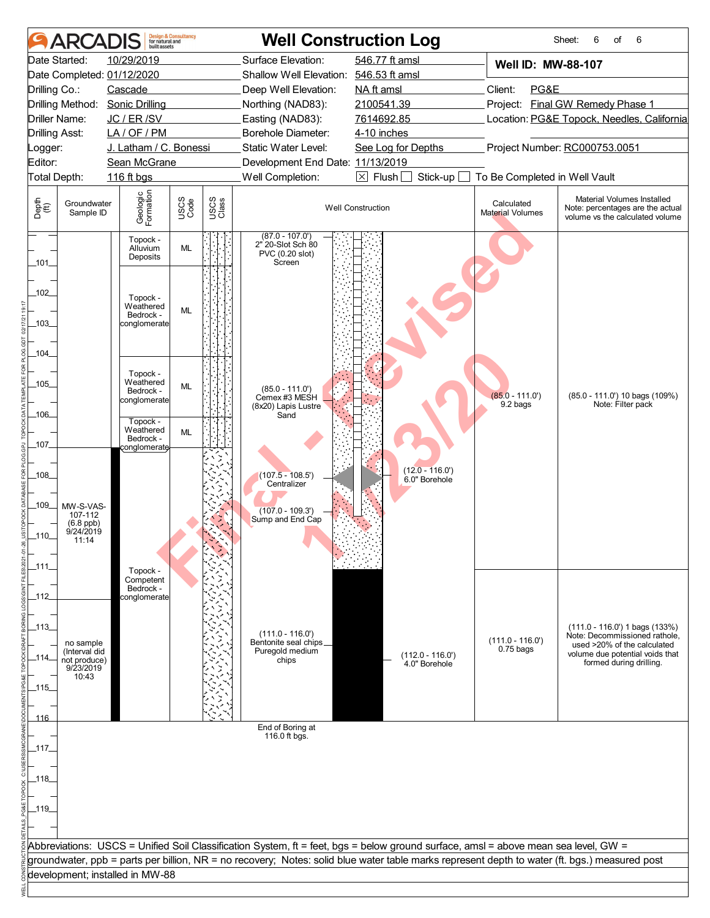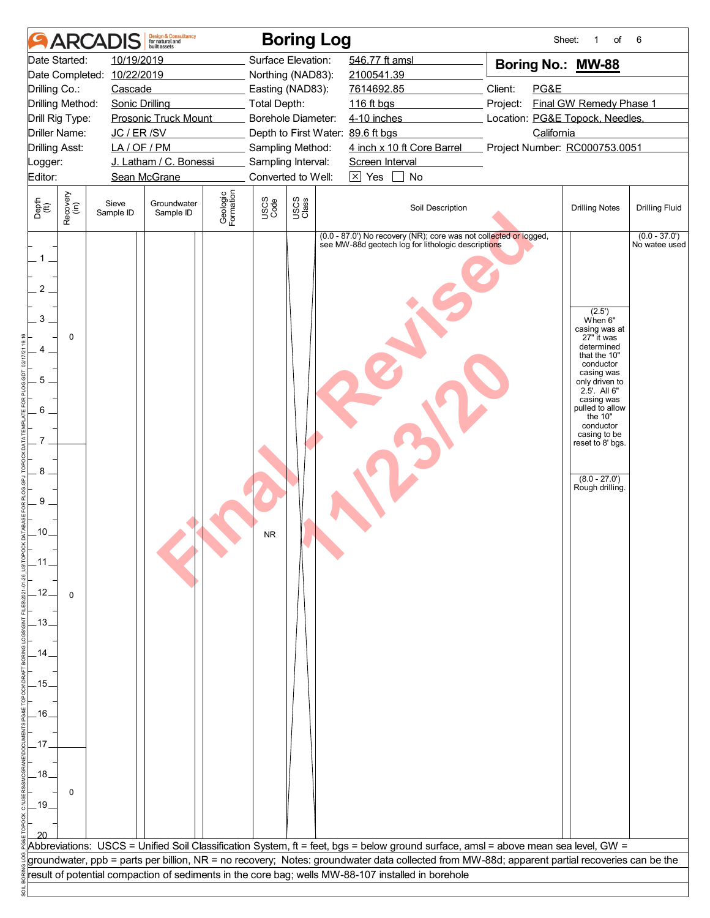|                                                                                                   |                    | <b>ARCADIS</b>             | <b>Design &amp; Consultancy</b><br>for natural and<br>built assets |                       |              | <b>Boring Log</b>                        |                                                                                                                                               | Sheet:                          | of<br>1                                                                                                                                                                                                                                                                                   | 6                                |
|---------------------------------------------------------------------------------------------------|--------------------|----------------------------|--------------------------------------------------------------------|-----------------------|--------------|------------------------------------------|-----------------------------------------------------------------------------------------------------------------------------------------------|---------------------------------|-------------------------------------------------------------------------------------------------------------------------------------------------------------------------------------------------------------------------------------------------------------------------------------------|----------------------------------|
|                                                                                                   | Date Started:      | 10/19/2019                 |                                                                    |                       |              | Surface Elevation:                       | 546.77 ft amsl                                                                                                                                | Boring No.: MW-88               |                                                                                                                                                                                                                                                                                           |                                  |
|                                                                                                   |                    | Date Completed: 10/22/2019 |                                                                    |                       |              | Northing (NAD83):                        | 2100541.39                                                                                                                                    |                                 |                                                                                                                                                                                                                                                                                           |                                  |
| Drilling Co.:                                                                                     |                    | Cascade                    |                                                                    |                       |              | Easting (NAD83):                         | 7614692.85                                                                                                                                    | Client:<br>PG&E                 |                                                                                                                                                                                                                                                                                           |                                  |
| Drilling Method:                                                                                  |                    | <b>Sonic Drilling</b>      |                                                                    |                       | Total Depth: |                                          | 116 ft bgs                                                                                                                                    | Project:                        | Final GW Remedy Phase 1                                                                                                                                                                                                                                                                   |                                  |
| Drill Rig Type:                                                                                   |                    |                            | Prosonic Truck Mount                                               |                       |              | Borehole Diameter:                       | 4-10 inches                                                                                                                                   | Location: PG&E Topock, Needles, |                                                                                                                                                                                                                                                                                           |                                  |
| <b>Driller Name:</b>                                                                              |                    | JC / ER / SV               |                                                                    |                       |              |                                          | Depth to First Water: 89.6 ft bgs                                                                                                             | California                      |                                                                                                                                                                                                                                                                                           |                                  |
| <b>Drilling Asst:</b>                                                                             |                    | LA/OF/PM                   |                                                                    |                       |              | Sampling Method:                         | 4 inch x 10 ft Core Barrel                                                                                                                    | Project Number: RC000753.0051   |                                                                                                                                                                                                                                                                                           |                                  |
| Logger:<br>Editor:                                                                                |                    |                            | J. Latham / C. Bonessi<br>Sean McGrane                             |                       |              | Sampling Interval:<br>Converted to Well: | Screen Interval<br>$\boxed{\times}$ Yes<br>No                                                                                                 |                                 |                                                                                                                                                                                                                                                                                           |                                  |
|                                                                                                   |                    |                            |                                                                    |                       |              |                                          |                                                                                                                                               |                                 |                                                                                                                                                                                                                                                                                           |                                  |
| Depth<br>$\widetilde{f(t)}$                                                                       | Recovery<br>(in)   | Sieve<br>Sample ID         | Groundwater<br>Sample ID                                           | Geologic<br>Formation | USCS<br>Code | USCS<br>Class                            | Soil Description                                                                                                                              |                                 | <b>Drilling Notes</b>                                                                                                                                                                                                                                                                     | <b>Drilling Fluid</b>            |
| 1<br>2<br>3<br>5<br>6<br>7<br>8<br>9<br>.10.<br>.12.<br>.13.<br>15.<br>.16.<br>17<br>.18.<br>.19. | 0<br>$\Omega$<br>0 |                            |                                                                    |                       | <b>NR</b>    |                                          | (0.0 - 87.0') No recovery (NR); core was not collected or logged,<br>see MW-88d geotech log for lithologic descriptions                       |                                 | (2.5')<br>When <sup>6"</sup><br>casing was at<br>27" it was<br>determined<br>that the 10"<br>conductor<br>casing was<br>only driven to<br>2.5'. All 6"<br>casing was<br>pulled to allow<br>the 10"<br>conductor<br>casing to be<br>reset to 8' bgs.<br>$(8.0 - 27.0')$<br>Rough drilling. | $(0.0 - 37.0')$<br>No watee used |
|                                                                                                   |                    |                            |                                                                    |                       |              |                                          | Abbreviations: USCS = Unified Soil Classification System, ft = feet, bgs = below ground surface, amsl = above mean sea level, GW =            |                                 |                                                                                                                                                                                                                                                                                           |                                  |
|                                                                                                   |                    |                            |                                                                    |                       |              |                                          | groundwater, ppb = parts per billion, NR = no recovery; Notes: groundwater data collected from MW-88d; apparent partial recoveries can be the |                                 |                                                                                                                                                                                                                                                                                           |                                  |
|                                                                                                   |                    |                            |                                                                    |                       |              |                                          | result of potential compaction of sediments in the core bag; wells MW-88-107 installed in borehole                                            |                                 |                                                                                                                                                                                                                                                                                           |                                  |
|                                                                                                   |                    |                            |                                                                    |                       |              |                                          |                                                                                                                                               |                                 |                                                                                                                                                                                                                                                                                           |                                  |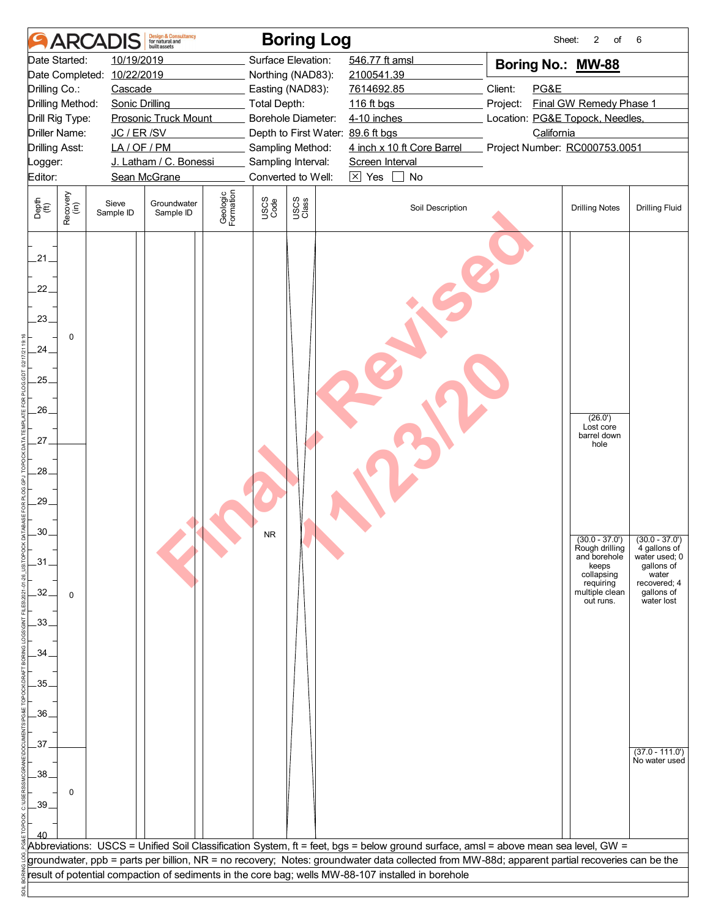|                                                                    |                      | <b>ARCAD</b>               | <b>Design &amp; Consultancy</b><br>for natural and<br>huilt assets |                       |              | <b>Boring Log</b>                      |                                                                                                                                               | Sheet:                          | 2<br>of                                                                                                               | 6                                                                                                                    |
|--------------------------------------------------------------------|----------------------|----------------------------|--------------------------------------------------------------------|-----------------------|--------------|----------------------------------------|-----------------------------------------------------------------------------------------------------------------------------------------------|---------------------------------|-----------------------------------------------------------------------------------------------------------------------|----------------------------------------------------------------------------------------------------------------------|
|                                                                    | Date Started:        | 10/19/2019                 |                                                                    |                       |              | Surface Elevation:                     | 546.77 ft amsl                                                                                                                                | Boring No.: MW-88               |                                                                                                                       |                                                                                                                      |
|                                                                    |                      | Date Completed: 10/22/2019 |                                                                    |                       |              | Northing (NAD83):                      | 2100541.39                                                                                                                                    |                                 |                                                                                                                       |                                                                                                                      |
| Drilling Co.:                                                      |                      | Cascade                    |                                                                    |                       |              | Easting (NAD83):                       | 7614692.85                                                                                                                                    | Client:<br>PG&E                 |                                                                                                                       |                                                                                                                      |
|                                                                    | Drilling Method:     | <b>Sonic Drilling</b>      |                                                                    |                       | Total Depth: |                                        | 116 ft bgs                                                                                                                                    | Project:                        | Final GW Remedy Phase 1                                                                                               |                                                                                                                      |
|                                                                    | Drill Rig Type:      |                            | <b>Prosonic Truck Mount</b>                                        |                       |              | Borehole Diameter:                     | 4-10 inches                                                                                                                                   | Location: PG&E Topock, Needles, |                                                                                                                       |                                                                                                                      |
|                                                                    | <b>Driller Name:</b> | JC / ER / SV               |                                                                    |                       |              | Depth to First Water: 89.6 ft bgs      |                                                                                                                                               | California                      |                                                                                                                       |                                                                                                                      |
| <b>Drilling Asst:</b>                                              |                      | LA/OF/PM                   | J. Latham / C. Bonessi                                             |                       |              | Sampling Method:<br>Sampling Interval: | 4 inch x 10 ft Core Barrel<br>Screen Interval                                                                                                 | Project Number: RC000753.0051   |                                                                                                                       |                                                                                                                      |
| Logger:<br>Editor:                                                 |                      |                            | Sean McGrane                                                       |                       |              | Converted to Well:                     | $\boxtimes$ Yes<br>$\mathbf{I}$<br>No                                                                                                         |                                 |                                                                                                                       |                                                                                                                      |
|                                                                    |                      |                            |                                                                    |                       |              |                                        |                                                                                                                                               |                                 |                                                                                                                       |                                                                                                                      |
| Depth<br>$\widetilde{f(t)}$                                        | Recovery<br>(in)     | Sieve<br>Sample ID         | Groundwater<br>Sample ID                                           | Geologic<br>Formation | USCS<br>Code | USCS<br>Class                          | Soil Description                                                                                                                              |                                 | <b>Drilling Notes</b>                                                                                                 | <b>Drilling Fluid</b>                                                                                                |
| 21.<br>22.<br>23.<br>.24.<br>.25.<br>$26-$<br>27.<br>28.<br>$.29-$ | $\mathbf 0$          |                            |                                                                    |                       |              |                                        |                                                                                                                                               |                                 | (26.0')<br>Lost core<br>barrel down<br>hole                                                                           |                                                                                                                      |
| .30 <sub>1</sub><br>$-31$<br>32.<br>$-33-$                         | $\Omega$             |                            |                                                                    |                       | <b>NR</b>    |                                        |                                                                                                                                               |                                 | $(30.0 - 37.0')$<br>Rough drilling<br>and borehole<br>keeps<br>collapsing<br>requiring<br>multiple clean<br>out runs. | $(30.0 - 37.0')$<br>4 gallons of<br>water used; 0<br>gallons of<br>water<br>recovered; 4<br>gallons of<br>water lost |
| .34.                                                               |                      |                            |                                                                    |                       |              |                                        |                                                                                                                                               |                                 |                                                                                                                       |                                                                                                                      |
|                                                                    |                      |                            |                                                                    |                       |              |                                        |                                                                                                                                               |                                 |                                                                                                                       |                                                                                                                      |
| .35.                                                               |                      |                            |                                                                    |                       |              |                                        |                                                                                                                                               |                                 |                                                                                                                       |                                                                                                                      |
|                                                                    |                      |                            |                                                                    |                       |              |                                        |                                                                                                                                               |                                 |                                                                                                                       |                                                                                                                      |
| .36.                                                               |                      |                            |                                                                    |                       |              |                                        |                                                                                                                                               |                                 |                                                                                                                       |                                                                                                                      |
|                                                                    |                      |                            |                                                                    |                       |              |                                        |                                                                                                                                               |                                 |                                                                                                                       |                                                                                                                      |
| .37.                                                               |                      |                            |                                                                    |                       |              |                                        |                                                                                                                                               |                                 |                                                                                                                       |                                                                                                                      |
|                                                                    |                      |                            |                                                                    |                       |              |                                        |                                                                                                                                               |                                 |                                                                                                                       | $(37.0 - 111.0')$<br>No water used                                                                                   |
| .38.                                                               |                      |                            |                                                                    |                       |              |                                        |                                                                                                                                               |                                 |                                                                                                                       |                                                                                                                      |
|                                                                    | 0                    |                            |                                                                    |                       |              |                                        |                                                                                                                                               |                                 |                                                                                                                       |                                                                                                                      |
| $-39.$                                                             |                      |                            |                                                                    |                       |              |                                        |                                                                                                                                               |                                 |                                                                                                                       |                                                                                                                      |
|                                                                    |                      |                            |                                                                    |                       |              |                                        |                                                                                                                                               |                                 |                                                                                                                       |                                                                                                                      |
|                                                                    |                      |                            |                                                                    |                       |              |                                        | Abbreviations: USCS = Unified Soil Classification System, ft = feet, bgs = below ground surface, amsl = above mean sea level, GW =            |                                 |                                                                                                                       |                                                                                                                      |
|                                                                    |                      |                            |                                                                    |                       |              |                                        | groundwater, ppb = parts per billion, NR = no recovery; Notes: groundwater data collected from MW-88d; apparent partial recoveries can be the |                                 |                                                                                                                       |                                                                                                                      |
|                                                                    |                      |                            |                                                                    |                       |              |                                        | result of potential compaction of sediments in the core bag; wells MW-88-107 installed in borehole                                            |                                 |                                                                                                                       |                                                                                                                      |
|                                                                    |                      |                            |                                                                    |                       |              |                                        |                                                                                                                                               |                                 |                                                                                                                       |                                                                                                                      |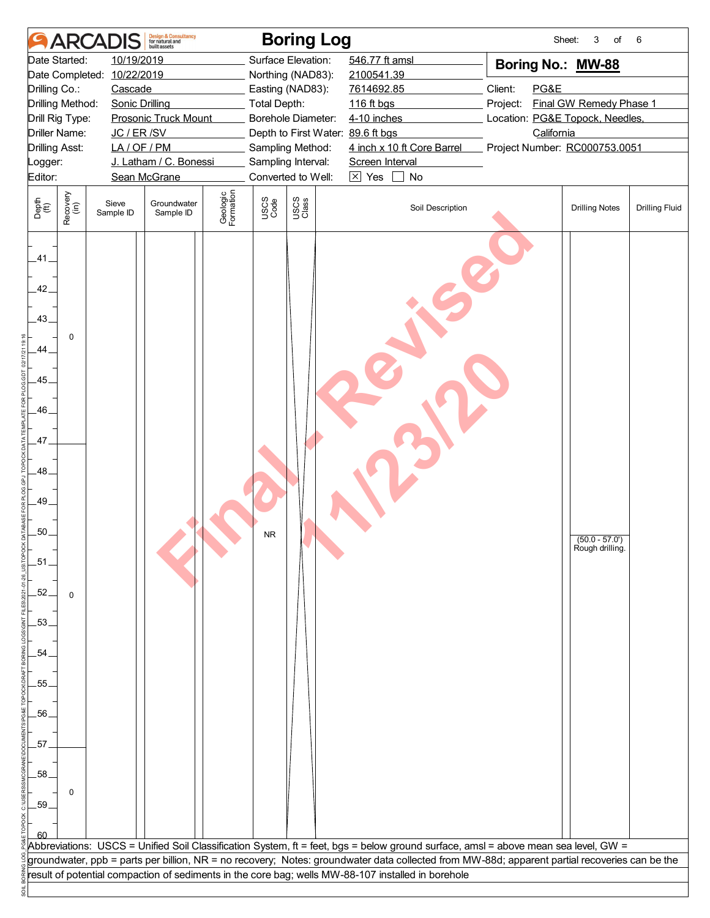|                                                              |                                         | <b>ARCADIS</b>             | <b>Design &amp; Consultancy</b><br>for natural and<br>built assets |                       |                     | <b>Boring Log</b>                                       |                 |                                                                                                                                                                                                                                                                                     |                                               | Sheet:<br>3<br>of                  | 6                     |
|--------------------------------------------------------------|-----------------------------------------|----------------------------|--------------------------------------------------------------------|-----------------------|---------------------|---------------------------------------------------------|-----------------|-------------------------------------------------------------------------------------------------------------------------------------------------------------------------------------------------------------------------------------------------------------------------------------|-----------------------------------------------|------------------------------------|-----------------------|
|                                                              | Date Started:                           | 10/19/2019                 |                                                                    |                       |                     | Surface Elevation:                                      | 546.77 ft amsl  |                                                                                                                                                                                                                                                                                     |                                               | Boring No.: MW-88                  |                       |
|                                                              |                                         | Date Completed: 10/22/2019 |                                                                    |                       |                     | Northing (NAD83):                                       | 2100541.39      |                                                                                                                                                                                                                                                                                     |                                               |                                    |                       |
| Drilling Co.:                                                |                                         | Cascade                    |                                                                    |                       |                     | Easting (NAD83):                                        | 7614692.85      |                                                                                                                                                                                                                                                                                     | Client:<br>PG&E                               |                                    |                       |
|                                                              | Drilling Method:                        | <b>Sonic Drilling</b>      |                                                                    |                       | <b>Total Depth:</b> |                                                         | 116 ft bgs      |                                                                                                                                                                                                                                                                                     | Project:                                      | Final GW Remedy Phase 1            |                       |
|                                                              | Drill Rig Type:<br><b>Driller Name:</b> | JC / ER / SV               | <b>Prosonic Truck Mount</b>                                        |                       |                     | Borehole Diameter:<br>Depth to First Water: 89.6 ft bgs | 4-10 inches     |                                                                                                                                                                                                                                                                                     | Location: PG&E Topock, Needles,<br>California |                                    |                       |
| <b>Drilling Asst:</b>                                        |                                         | LA/OF/PM                   |                                                                    |                       |                     | Sampling Method:                                        |                 | 4 inch x 10 ft Core Barrel                                                                                                                                                                                                                                                          | Project Number: RC000753.0051                 |                                    |                       |
| Logger:                                                      |                                         |                            | J. Latham / C. Bonessi                                             |                       |                     | Sampling Interval:                                      | Screen Interval |                                                                                                                                                                                                                                                                                     |                                               |                                    |                       |
| Editor:                                                      |                                         |                            | Sean McGrane                                                       |                       |                     | Converted to Well:                                      | $\times$ Yes    | No                                                                                                                                                                                                                                                                                  |                                               |                                    |                       |
|                                                              |                                         |                            |                                                                    |                       |                     |                                                         |                 |                                                                                                                                                                                                                                                                                     |                                               |                                    |                       |
| Depth<br>$\widetilde{f(t)}$                                  | Recovery<br>(in)                        | Sieve<br>Sample ID         | Groundwater<br>Sample ID                                           | Geologic<br>Formation | USCS<br>Code        | USCS<br>Class                                           |                 | Soil Description                                                                                                                                                                                                                                                                    |                                               | <b>Drilling Notes</b>              | <b>Drilling Fluid</b> |
| .41.<br>42<br>.43.<br>.44<br>.45<br>.46.<br>.47<br>.48<br>49 | $\mathbf 0$                             |                            |                                                                    |                       |                     |                                                         |                 |                                                                                                                                                                                                                                                                                     |                                               |                                    |                       |
| .50<br>.51<br>52                                             |                                         |                            |                                                                    |                       | <b>NR</b>           |                                                         |                 |                                                                                                                                                                                                                                                                                     |                                               | $(50.0 - 57.0)$<br>Rough drilling. |                       |
| .53                                                          | $\mathbf 0$                             |                            |                                                                    |                       |                     |                                                         |                 |                                                                                                                                                                                                                                                                                     |                                               |                                    |                       |
| 54                                                           |                                         |                            |                                                                    |                       |                     |                                                         |                 |                                                                                                                                                                                                                                                                                     |                                               |                                    |                       |
| 55                                                           |                                         |                            |                                                                    |                       |                     |                                                         |                 |                                                                                                                                                                                                                                                                                     |                                               |                                    |                       |
| .56.                                                         |                                         |                            |                                                                    |                       |                     |                                                         |                 |                                                                                                                                                                                                                                                                                     |                                               |                                    |                       |
| .57 <sub>2</sub>                                             |                                         |                            |                                                                    |                       |                     |                                                         |                 |                                                                                                                                                                                                                                                                                     |                                               |                                    |                       |
| 58                                                           | 0                                       |                            |                                                                    |                       |                     |                                                         |                 |                                                                                                                                                                                                                                                                                     |                                               |                                    |                       |
| .59                                                          |                                         |                            |                                                                    |                       |                     |                                                         |                 |                                                                                                                                                                                                                                                                                     |                                               |                                    |                       |
|                                                              |                                         |                            |                                                                    |                       |                     |                                                         |                 |                                                                                                                                                                                                                                                                                     |                                               |                                    |                       |
|                                                              |                                         |                            |                                                                    |                       |                     |                                                         |                 | Abbreviations: USCS = Unified Soil Classification System, ft = feet, bgs = below ground surface, amsl = above mean sea level, GW =<br>groundwater, ppb = parts per billion, NR = no recovery; Notes: groundwater data collected from MW-88d; apparent partial recoveries can be the |                                               |                                    |                       |
|                                                              |                                         |                            |                                                                    |                       |                     |                                                         |                 | result of potential compaction of sediments in the core bag; wells MW-88-107 installed in borehole                                                                                                                                                                                  |                                               |                                    |                       |
|                                                              |                                         |                            |                                                                    |                       |                     |                                                         |                 |                                                                                                                                                                                                                                                                                     |                                               |                                    |                       |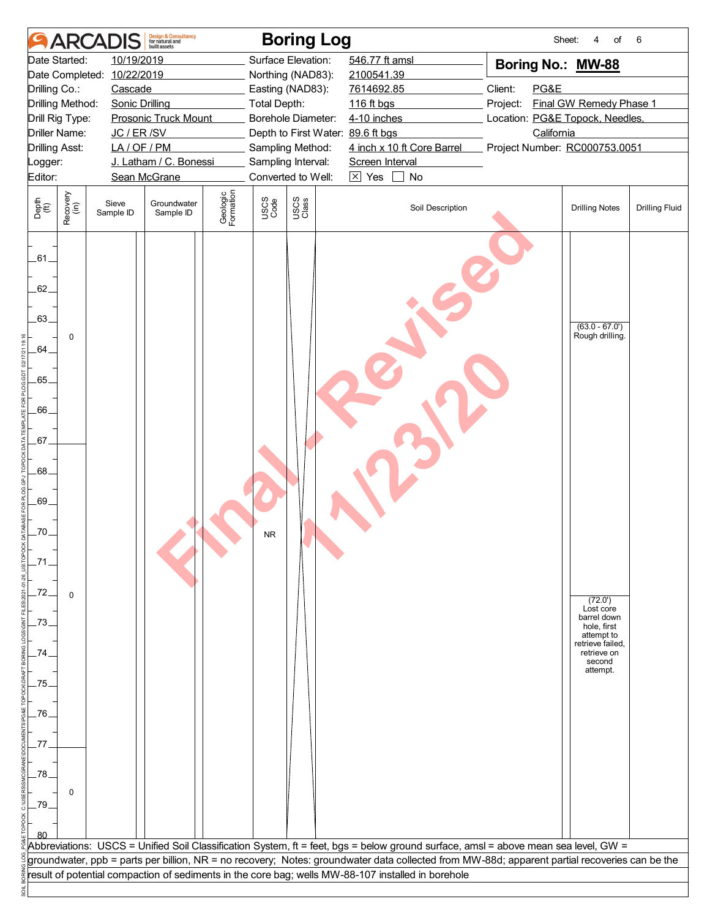|                             |                  | <b>ARCADIS</b>             | <b>Design &amp; Consultancy</b><br>for natural and<br>huilt assets |                       |                     | <b>Boring Log</b>                 |                 |                                                                                                    |                                                                                                                                               | Sheet:<br>4<br>of                                            | 6                     |
|-----------------------------|------------------|----------------------------|--------------------------------------------------------------------|-----------------------|---------------------|-----------------------------------|-----------------|----------------------------------------------------------------------------------------------------|-----------------------------------------------------------------------------------------------------------------------------------------------|--------------------------------------------------------------|-----------------------|
|                             | Date Started:    | 10/19/2019                 |                                                                    |                       |                     | Surface Elevation:                | 546.77 ft amsl  |                                                                                                    | Boring No.: MW-88                                                                                                                             |                                                              |                       |
|                             |                  | Date Completed: 10/22/2019 |                                                                    |                       |                     | Northing (NAD83):                 | 2100541.39      |                                                                                                    |                                                                                                                                               |                                                              |                       |
| Drilling Co.:               |                  | Cascade                    |                                                                    |                       |                     | Easting (NAD83):                  | 7614692.85      |                                                                                                    | Client:<br>PG&E                                                                                                                               |                                                              |                       |
| Drilling Method:            |                  | <b>Sonic Drilling</b>      |                                                                    |                       | <b>Total Depth:</b> |                                   | 116 ft bgs      |                                                                                                    | Project:                                                                                                                                      | Final GW Remedy Phase 1                                      |                       |
| Drill Rig Type:             |                  |                            | <b>Prosonic Truck Mount</b>                                        |                       |                     | Borehole Diameter:                | 4-10 inches     |                                                                                                    | Location: PG&E Topock, Needles,                                                                                                               |                                                              |                       |
| Driller Name:               |                  | JC / ER / SV               |                                                                    |                       |                     | Depth to First Water: 89.6 ft bgs |                 |                                                                                                    | California                                                                                                                                    |                                                              |                       |
| <b>Drilling Asst:</b>       |                  | LA/OF/PM                   |                                                                    |                       |                     | Sampling Method:                  |                 | 4 inch x 10 ft Core Barrel                                                                         | Project Number: RC000753.0051                                                                                                                 |                                                              |                       |
| Logger:                     |                  |                            | J. Latham / C. Bonessi                                             |                       |                     | Sampling Interval:                | Screen Interval |                                                                                                    |                                                                                                                                               |                                                              |                       |
| Editor:                     |                  |                            | Sean McGrane                                                       |                       |                     | Converted to Well:                | $\times$ Yes    | No                                                                                                 |                                                                                                                                               |                                                              |                       |
| Depth<br>$\widetilde{f(t)}$ | Recovery<br>(in) | Sieve<br>Sample ID         | Groundwater<br>Sample ID                                           | Geologic<br>Formation | USCS<br>Code        | USCS<br>Class                     |                 | Soil Description                                                                                   |                                                                                                                                               | <b>Drilling Notes</b>                                        | <b>Drilling Fluid</b> |
| .61.                        |                  |                            |                                                                    |                       |                     |                                   |                 |                                                                                                    |                                                                                                                                               |                                                              |                       |
| 62.<br>.63.                 |                  |                            |                                                                    |                       |                     |                                   |                 |                                                                                                    |                                                                                                                                               |                                                              |                       |
| 64                          | $\mathbf 0$      |                            |                                                                    |                       |                     |                                   |                 |                                                                                                    |                                                                                                                                               | $(63.0 - 67.0')$<br>Rough drilling.                          |                       |
| .65.                        |                  |                            |                                                                    |                       |                     |                                   |                 |                                                                                                    |                                                                                                                                               |                                                              |                       |
| .66.                        |                  |                            |                                                                    |                       |                     |                                   |                 |                                                                                                    |                                                                                                                                               |                                                              |                       |
| .67.                        |                  |                            |                                                                    |                       |                     |                                   |                 |                                                                                                    |                                                                                                                                               |                                                              |                       |
| .68.<br>.69.                |                  |                            |                                                                    |                       |                     |                                   |                 |                                                                                                    |                                                                                                                                               |                                                              |                       |
| .70.                        |                  |                            |                                                                    |                       | NR.                 |                                   |                 |                                                                                                    |                                                                                                                                               |                                                              |                       |
|                             |                  |                            |                                                                    |                       |                     |                                   |                 |                                                                                                    |                                                                                                                                               |                                                              |                       |
| .72.                        | $\mathbf 0$      |                            |                                                                    |                       |                     |                                   |                 |                                                                                                    |                                                                                                                                               | (72.0')<br>Lost core<br>barrel down                          |                       |
| 73                          |                  |                            |                                                                    |                       |                     |                                   |                 |                                                                                                    |                                                                                                                                               | hole, first<br>attempt to<br>retrieve failed,<br>retrieve on |                       |
| 75.                         |                  |                            |                                                                    |                       |                     |                                   |                 |                                                                                                    |                                                                                                                                               | second<br>attempt.                                           |                       |
| .76.                        |                  |                            |                                                                    |                       |                     |                                   |                 |                                                                                                    |                                                                                                                                               |                                                              |                       |
| 77                          |                  |                            |                                                                    |                       |                     |                                   |                 |                                                                                                    |                                                                                                                                               |                                                              |                       |
| .78<br>79.                  | 0                |                            |                                                                    |                       |                     |                                   |                 |                                                                                                    |                                                                                                                                               |                                                              |                       |
|                             |                  |                            |                                                                    |                       |                     |                                   |                 |                                                                                                    |                                                                                                                                               |                                                              |                       |
|                             |                  |                            |                                                                    |                       |                     |                                   |                 |                                                                                                    | Abbreviations: USCS = Unified Soil Classification System, ft = feet, bgs = below ground surface, amsl = above mean sea level, GW =            |                                                              |                       |
|                             |                  |                            |                                                                    |                       |                     |                                   |                 |                                                                                                    | groundwater, ppb = parts per billion, NR = no recovery; Notes: groundwater data collected from MW-88d; apparent partial recoveries can be the |                                                              |                       |
|                             |                  |                            |                                                                    |                       |                     |                                   |                 | result of potential compaction of sediments in the core bag; wells MW-88-107 installed in borehole |                                                                                                                                               |                                                              |                       |
|                             |                  |                            |                                                                    |                       |                     |                                   |                 |                                                                                                    |                                                                                                                                               |                                                              |                       |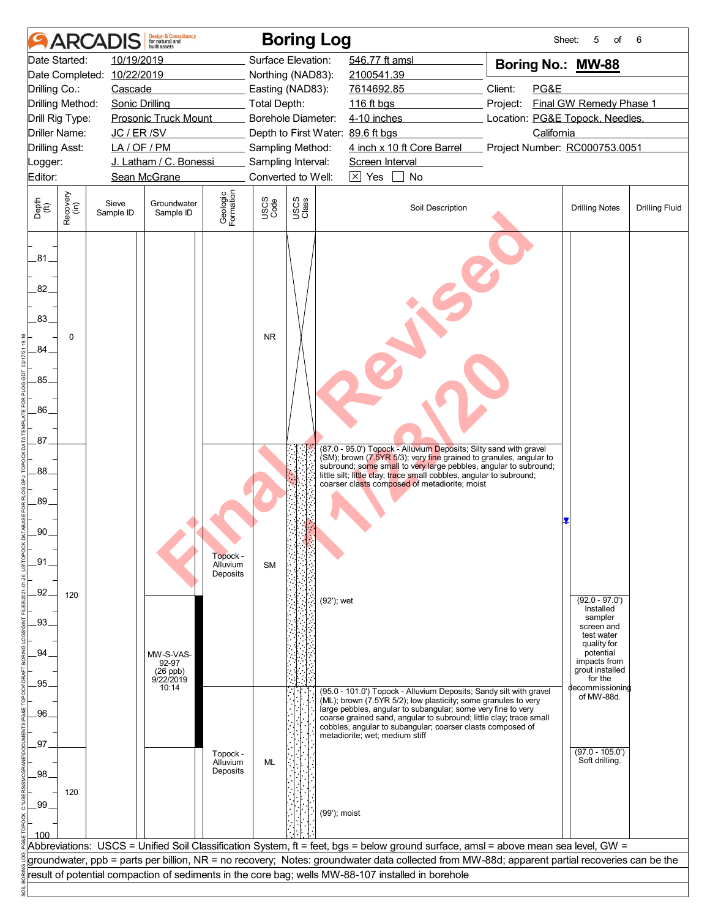| 10/19/2019<br>Surface Elevation:<br>546.77 ft amsl<br>Date Started:<br>Boring No.: MW-88<br>Date Completed: 10/22/2019<br>Northing (NAD83):<br>2100541.39<br>Client:<br>PG&E<br>Drilling Co.:<br>Cascade<br>Easting (NAD83):<br>7614692.85<br>Final GW Remedy Phase 1<br>Drilling Method:<br><b>Sonic Drilling</b><br>Total Depth:<br>116 ft bgs<br>Project:<br>Prosonic Truck Mount<br>Borehole Diameter:<br>4-10 inches<br>Location: PG&E Topock, Needles,<br>Drill Rig Type:<br>JC / ER /SV<br>California<br>Driller Name:<br>Depth to First Water: 89.6 ft bgs<br>4 inch x 10 ft Core Barrel<br>Project Number: RC000753.0051<br><b>Drilling Asst:</b><br>LA/OF/PM<br>Sampling Method:<br>J. Latham / C. Bonessi<br>Sampling Interval:<br>Screen Interval<br>Logger:<br>$\boxtimes$ Yes<br>Editor:<br>Sean McGrane<br>Converted to Well:<br>No<br>Geologic<br>Formation<br>Recovery<br>(in)<br>USCS<br>Class<br>USCS<br>Code<br>Depth<br>$\widetilde{f(t)}$<br>Sieve<br>Groundwater<br>Soil Description<br><b>Drilling Notes</b><br><b>Drilling Fluid</b><br>Sample ID<br>Sample ID<br>.81<br>82.<br>.83.<br><b>NR</b><br>0<br>.84<br>.85.<br>.86<br>87.<br>(87.0 - 95.0') Topock - Alluvium Deposits; Silty sand with gravel<br>(SM); brown (7.5YR 5/3); very fine grained to granules, angular to<br>subround; some small to very large pebbles, angular to subround;<br>.88.<br>little silt; little clay; trace small cobbles, angular to subround;<br>coarser clasts composed of metadiorite; moist<br>.89.<br>.90.<br>Topock -<br>.91<br>Alluvium<br><b>SM</b><br>Deposits<br>$-92$<br>120<br>$(92.0 - 97.0')$<br>(92'); wet<br>Installed<br>sampler<br>.93.<br>screen and<br>test water<br>quality for<br>.94.<br>potential<br>MW-S-VAS-<br>impacts from<br>92-97<br>grout installed<br>(26 ppb)<br>9/22/2019<br>for the<br>95.<br>10:14<br>decommissioning<br>(95.0 - 101.0') Topock - Alluvium Deposits; Sandy silt with gravel<br>of MW-88d.<br>(ML); brown (7.5YR 5/2); low plasticity; some granules to very<br>large pebbles, angular to subangular, some very fine to very<br>.96.<br>coarse grained sand, angular to subround; little clay; trace small<br>cobbles, angular to subangular; coarser clasts composed of<br>metadiorite; wet; medium stiff<br>.97<br>$(97.0 - 105.0')$<br>Topock -<br>Soft drilling.<br>Alluvium<br>ML<br>Deposits<br>.98.<br>120<br>99 <sub>1</sub><br>(99'); moist<br>100<br>Abbreviations: USCS = Unified Soil Classification System, ft = feet, bgs = below ground surface, amsl = above mean sea level, GW =<br>groundwater, ppb = parts per billion, NR = no recovery; Notes: groundwater data collected from MW-88d; apparent partial recoveries can be the<br>result of potential compaction of sediments in the core bag; wells MW-88-107 installed in borehole |  | <b>ARCADI</b> | <b>Design &amp; Consultancy</b><br>for natural and<br><b>built</b> assets |  | <b>Boring Log</b> |  | Sheet: | 5<br>οf | 6 |
|-------------------------------------------------------------------------------------------------------------------------------------------------------------------------------------------------------------------------------------------------------------------------------------------------------------------------------------------------------------------------------------------------------------------------------------------------------------------------------------------------------------------------------------------------------------------------------------------------------------------------------------------------------------------------------------------------------------------------------------------------------------------------------------------------------------------------------------------------------------------------------------------------------------------------------------------------------------------------------------------------------------------------------------------------------------------------------------------------------------------------------------------------------------------------------------------------------------------------------------------------------------------------------------------------------------------------------------------------------------------------------------------------------------------------------------------------------------------------------------------------------------------------------------------------------------------------------------------------------------------------------------------------------------------------------------------------------------------------------------------------------------------------------------------------------------------------------------------------------------------------------------------------------------------------------------------------------------------------------------------------------------------------------------------------------------------------------------------------------------------------------------------------------------------------------------------------------------------------------------------------------------------------------------------------------------------------------------------------------------------------------------------------------------------------------------------------------------------------------------------------------------------------------------------------------------------------------------------------------------------------------------------------------------------------------------------------------------------------------------------------------------------------------------------------------------------------|--|---------------|---------------------------------------------------------------------------|--|-------------------|--|--------|---------|---|
|                                                                                                                                                                                                                                                                                                                                                                                                                                                                                                                                                                                                                                                                                                                                                                                                                                                                                                                                                                                                                                                                                                                                                                                                                                                                                                                                                                                                                                                                                                                                                                                                                                                                                                                                                                                                                                                                                                                                                                                                                                                                                                                                                                                                                                                                                                                                                                                                                                                                                                                                                                                                                                                                                                                                                                                                                         |  |               |                                                                           |  |                   |  |        |         |   |
|                                                                                                                                                                                                                                                                                                                                                                                                                                                                                                                                                                                                                                                                                                                                                                                                                                                                                                                                                                                                                                                                                                                                                                                                                                                                                                                                                                                                                                                                                                                                                                                                                                                                                                                                                                                                                                                                                                                                                                                                                                                                                                                                                                                                                                                                                                                                                                                                                                                                                                                                                                                                                                                                                                                                                                                                                         |  |               |                                                                           |  |                   |  |        |         |   |
|                                                                                                                                                                                                                                                                                                                                                                                                                                                                                                                                                                                                                                                                                                                                                                                                                                                                                                                                                                                                                                                                                                                                                                                                                                                                                                                                                                                                                                                                                                                                                                                                                                                                                                                                                                                                                                                                                                                                                                                                                                                                                                                                                                                                                                                                                                                                                                                                                                                                                                                                                                                                                                                                                                                                                                                                                         |  |               |                                                                           |  |                   |  |        |         |   |
|                                                                                                                                                                                                                                                                                                                                                                                                                                                                                                                                                                                                                                                                                                                                                                                                                                                                                                                                                                                                                                                                                                                                                                                                                                                                                                                                                                                                                                                                                                                                                                                                                                                                                                                                                                                                                                                                                                                                                                                                                                                                                                                                                                                                                                                                                                                                                                                                                                                                                                                                                                                                                                                                                                                                                                                                                         |  |               |                                                                           |  |                   |  |        |         |   |
|                                                                                                                                                                                                                                                                                                                                                                                                                                                                                                                                                                                                                                                                                                                                                                                                                                                                                                                                                                                                                                                                                                                                                                                                                                                                                                                                                                                                                                                                                                                                                                                                                                                                                                                                                                                                                                                                                                                                                                                                                                                                                                                                                                                                                                                                                                                                                                                                                                                                                                                                                                                                                                                                                                                                                                                                                         |  |               |                                                                           |  |                   |  |        |         |   |
|                                                                                                                                                                                                                                                                                                                                                                                                                                                                                                                                                                                                                                                                                                                                                                                                                                                                                                                                                                                                                                                                                                                                                                                                                                                                                                                                                                                                                                                                                                                                                                                                                                                                                                                                                                                                                                                                                                                                                                                                                                                                                                                                                                                                                                                                                                                                                                                                                                                                                                                                                                                                                                                                                                                                                                                                                         |  |               |                                                                           |  |                   |  |        |         |   |
|                                                                                                                                                                                                                                                                                                                                                                                                                                                                                                                                                                                                                                                                                                                                                                                                                                                                                                                                                                                                                                                                                                                                                                                                                                                                                                                                                                                                                                                                                                                                                                                                                                                                                                                                                                                                                                                                                                                                                                                                                                                                                                                                                                                                                                                                                                                                                                                                                                                                                                                                                                                                                                                                                                                                                                                                                         |  |               |                                                                           |  |                   |  |        |         |   |
|                                                                                                                                                                                                                                                                                                                                                                                                                                                                                                                                                                                                                                                                                                                                                                                                                                                                                                                                                                                                                                                                                                                                                                                                                                                                                                                                                                                                                                                                                                                                                                                                                                                                                                                                                                                                                                                                                                                                                                                                                                                                                                                                                                                                                                                                                                                                                                                                                                                                                                                                                                                                                                                                                                                                                                                                                         |  |               |                                                                           |  |                   |  |        |         |   |
|                                                                                                                                                                                                                                                                                                                                                                                                                                                                                                                                                                                                                                                                                                                                                                                                                                                                                                                                                                                                                                                                                                                                                                                                                                                                                                                                                                                                                                                                                                                                                                                                                                                                                                                                                                                                                                                                                                                                                                                                                                                                                                                                                                                                                                                                                                                                                                                                                                                                                                                                                                                                                                                                                                                                                                                                                         |  |               |                                                                           |  |                   |  |        |         |   |
|                                                                                                                                                                                                                                                                                                                                                                                                                                                                                                                                                                                                                                                                                                                                                                                                                                                                                                                                                                                                                                                                                                                                                                                                                                                                                                                                                                                                                                                                                                                                                                                                                                                                                                                                                                                                                                                                                                                                                                                                                                                                                                                                                                                                                                                                                                                                                                                                                                                                                                                                                                                                                                                                                                                                                                                                                         |  |               |                                                                           |  |                   |  |        |         |   |
|                                                                                                                                                                                                                                                                                                                                                                                                                                                                                                                                                                                                                                                                                                                                                                                                                                                                                                                                                                                                                                                                                                                                                                                                                                                                                                                                                                                                                                                                                                                                                                                                                                                                                                                                                                                                                                                                                                                                                                                                                                                                                                                                                                                                                                                                                                                                                                                                                                                                                                                                                                                                                                                                                                                                                                                                                         |  |               |                                                                           |  |                   |  |        |         |   |
|                                                                                                                                                                                                                                                                                                                                                                                                                                                                                                                                                                                                                                                                                                                                                                                                                                                                                                                                                                                                                                                                                                                                                                                                                                                                                                                                                                                                                                                                                                                                                                                                                                                                                                                                                                                                                                                                                                                                                                                                                                                                                                                                                                                                                                                                                                                                                                                                                                                                                                                                                                                                                                                                                                                                                                                                                         |  |               |                                                                           |  |                   |  |        |         |   |
|                                                                                                                                                                                                                                                                                                                                                                                                                                                                                                                                                                                                                                                                                                                                                                                                                                                                                                                                                                                                                                                                                                                                                                                                                                                                                                                                                                                                                                                                                                                                                                                                                                                                                                                                                                                                                                                                                                                                                                                                                                                                                                                                                                                                                                                                                                                                                                                                                                                                                                                                                                                                                                                                                                                                                                                                                         |  |               |                                                                           |  |                   |  |        |         |   |
|                                                                                                                                                                                                                                                                                                                                                                                                                                                                                                                                                                                                                                                                                                                                                                                                                                                                                                                                                                                                                                                                                                                                                                                                                                                                                                                                                                                                                                                                                                                                                                                                                                                                                                                                                                                                                                                                                                                                                                                                                                                                                                                                                                                                                                                                                                                                                                                                                                                                                                                                                                                                                                                                                                                                                                                                                         |  |               |                                                                           |  |                   |  |        |         |   |
|                                                                                                                                                                                                                                                                                                                                                                                                                                                                                                                                                                                                                                                                                                                                                                                                                                                                                                                                                                                                                                                                                                                                                                                                                                                                                                                                                                                                                                                                                                                                                                                                                                                                                                                                                                                                                                                                                                                                                                                                                                                                                                                                                                                                                                                                                                                                                                                                                                                                                                                                                                                                                                                                                                                                                                                                                         |  |               |                                                                           |  |                   |  |        |         |   |
|                                                                                                                                                                                                                                                                                                                                                                                                                                                                                                                                                                                                                                                                                                                                                                                                                                                                                                                                                                                                                                                                                                                                                                                                                                                                                                                                                                                                                                                                                                                                                                                                                                                                                                                                                                                                                                                                                                                                                                                                                                                                                                                                                                                                                                                                                                                                                                                                                                                                                                                                                                                                                                                                                                                                                                                                                         |  |               |                                                                           |  |                   |  |        |         |   |
|                                                                                                                                                                                                                                                                                                                                                                                                                                                                                                                                                                                                                                                                                                                                                                                                                                                                                                                                                                                                                                                                                                                                                                                                                                                                                                                                                                                                                                                                                                                                                                                                                                                                                                                                                                                                                                                                                                                                                                                                                                                                                                                                                                                                                                                                                                                                                                                                                                                                                                                                                                                                                                                                                                                                                                                                                         |  |               |                                                                           |  |                   |  |        |         |   |
|                                                                                                                                                                                                                                                                                                                                                                                                                                                                                                                                                                                                                                                                                                                                                                                                                                                                                                                                                                                                                                                                                                                                                                                                                                                                                                                                                                                                                                                                                                                                                                                                                                                                                                                                                                                                                                                                                                                                                                                                                                                                                                                                                                                                                                                                                                                                                                                                                                                                                                                                                                                                                                                                                                                                                                                                                         |  |               |                                                                           |  |                   |  |        |         |   |
|                                                                                                                                                                                                                                                                                                                                                                                                                                                                                                                                                                                                                                                                                                                                                                                                                                                                                                                                                                                                                                                                                                                                                                                                                                                                                                                                                                                                                                                                                                                                                                                                                                                                                                                                                                                                                                                                                                                                                                                                                                                                                                                                                                                                                                                                                                                                                                                                                                                                                                                                                                                                                                                                                                                                                                                                                         |  |               |                                                                           |  |                   |  |        |         |   |
|                                                                                                                                                                                                                                                                                                                                                                                                                                                                                                                                                                                                                                                                                                                                                                                                                                                                                                                                                                                                                                                                                                                                                                                                                                                                                                                                                                                                                                                                                                                                                                                                                                                                                                                                                                                                                                                                                                                                                                                                                                                                                                                                                                                                                                                                                                                                                                                                                                                                                                                                                                                                                                                                                                                                                                                                                         |  |               |                                                                           |  |                   |  |        |         |   |
|                                                                                                                                                                                                                                                                                                                                                                                                                                                                                                                                                                                                                                                                                                                                                                                                                                                                                                                                                                                                                                                                                                                                                                                                                                                                                                                                                                                                                                                                                                                                                                                                                                                                                                                                                                                                                                                                                                                                                                                                                                                                                                                                                                                                                                                                                                                                                                                                                                                                                                                                                                                                                                                                                                                                                                                                                         |  |               |                                                                           |  |                   |  |        |         |   |
|                                                                                                                                                                                                                                                                                                                                                                                                                                                                                                                                                                                                                                                                                                                                                                                                                                                                                                                                                                                                                                                                                                                                                                                                                                                                                                                                                                                                                                                                                                                                                                                                                                                                                                                                                                                                                                                                                                                                                                                                                                                                                                                                                                                                                                                                                                                                                                                                                                                                                                                                                                                                                                                                                                                                                                                                                         |  |               |                                                                           |  |                   |  |        |         |   |
|                                                                                                                                                                                                                                                                                                                                                                                                                                                                                                                                                                                                                                                                                                                                                                                                                                                                                                                                                                                                                                                                                                                                                                                                                                                                                                                                                                                                                                                                                                                                                                                                                                                                                                                                                                                                                                                                                                                                                                                                                                                                                                                                                                                                                                                                                                                                                                                                                                                                                                                                                                                                                                                                                                                                                                                                                         |  |               |                                                                           |  |                   |  |        |         |   |
|                                                                                                                                                                                                                                                                                                                                                                                                                                                                                                                                                                                                                                                                                                                                                                                                                                                                                                                                                                                                                                                                                                                                                                                                                                                                                                                                                                                                                                                                                                                                                                                                                                                                                                                                                                                                                                                                                                                                                                                                                                                                                                                                                                                                                                                                                                                                                                                                                                                                                                                                                                                                                                                                                                                                                                                                                         |  |               |                                                                           |  |                   |  |        |         |   |